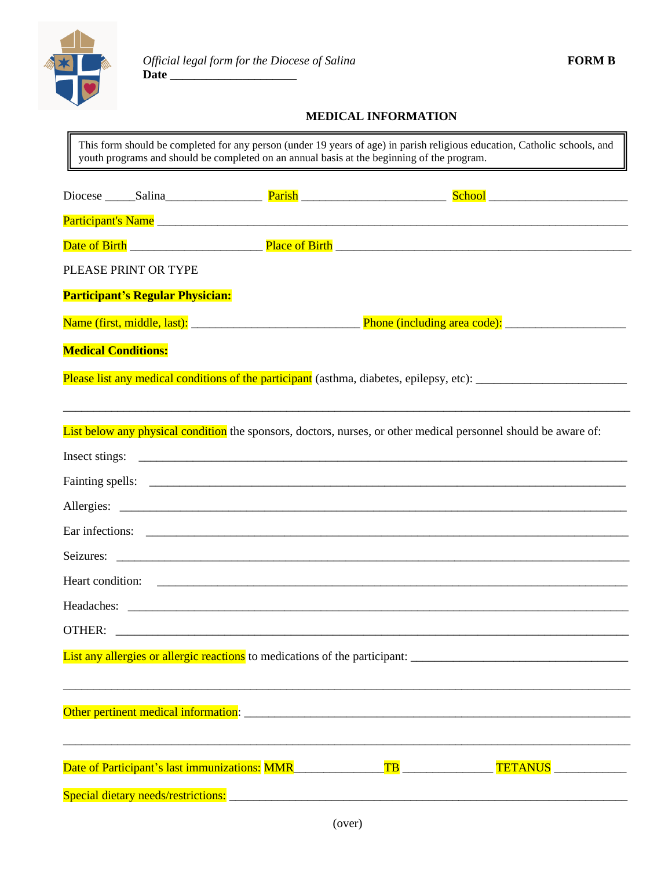

## **MEDICAL INFORMATION**

This form should be completed for any person (under 19 years of age) in parish religious education, Catholic schools, and youth programs and should be completed on an annual basis at the beginning of the program.

|                                         | Participant's Name                                                                                              |
|-----------------------------------------|-----------------------------------------------------------------------------------------------------------------|
|                                         |                                                                                                                 |
| PLEASE PRINT OR TYPE                    |                                                                                                                 |
| <b>Participant's Regular Physician:</b> |                                                                                                                 |
|                                         |                                                                                                                 |
| <b>Medical Conditions:</b>              |                                                                                                                 |
|                                         | Please list any medical conditions of the participant (asthma, diabetes, epilepsy, etc): _____________________  |
|                                         | List below any physical condition the sponsors, doctors, nurses, or other medical personnel should be aware of: |
|                                         |                                                                                                                 |
|                                         |                                                                                                                 |
|                                         |                                                                                                                 |
|                                         |                                                                                                                 |
|                                         |                                                                                                                 |
|                                         |                                                                                                                 |
|                                         |                                                                                                                 |
|                                         |                                                                                                                 |
|                                         | List any allergies or allergic reactions to medications of the participant: __________________________________  |
|                                         |                                                                                                                 |
|                                         | Date of Participant's last immunizations: MMR________________TB_________________TETANUS_______________________  |
|                                         |                                                                                                                 |